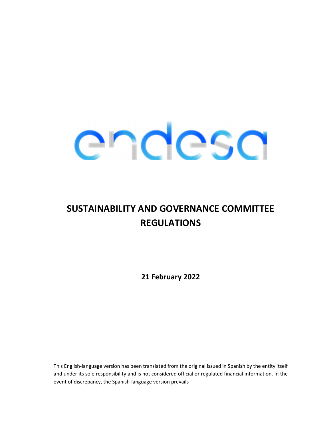

# SUSTAINABILITY AND GOVERNANCE COMMITTEE REGULATIONS

21 February 2022

This English-language version has been translated from the original issued in Spanish by the entity itself and under its sole responsibility and is not considered official or regulated financial information. In the event of discrepancy, the Spanish-language version prevails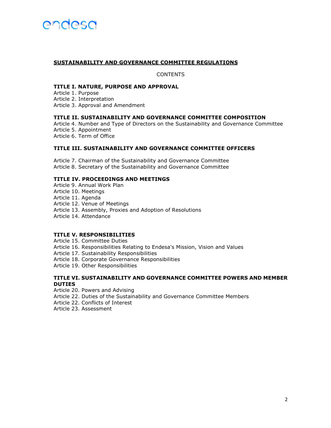# SUSTAINABILITY AND GOVERNANCE COMMITTEE REGULATIONS

**CONTENTS** 

### TITLE I. NATURE, PURPOSE AND APPROVAL

Article 1. Purpose Article 2. Interpretation Article 3. Approval and Amendment

#### TITLE II. SUSTAINABILITY AND GOVERNANCE COMMITTEE COMPOSITION

Article 4. Number and Type of Directors on the Sustainability and Governance Committee Article 5. Appointment Article 6. Term of Office

# TITLE III. SUSTAINABILITY AND GOVERNANCE COMMITTEE OFFICERS

Article 7. Chairman of the Sustainability and Governance Committee Article 8. Secretary of the Sustainability and Governance Committee

# TITLE IV. PROCEEDINGS AND MEETINGS

- Article 9. Annual Work Plan
- Article 10. Meetings
- Article 11. Agenda
- Article 12. Venue of Meetings
- Article 13. Assembly, Proxies and Adoption of Resolutions
- Article 14. Attendance

# TITLE V. RESPONSIBILITIES

Article 15. Committee Duties

- Article 16. Responsibilities Relating to Endesa's Mission, Vision and Values
- Article 17. Sustainability Responsibilities
- Article 18. Corporate Governance Responsibilities
- Article 19. Other Responsibilities

### TITLE VI. SUSTAINABILITY AND GOVERNANCE COMMITTEE POWERS AND MEMBER **DUTIES**

- Article 20. Powers and Advising
- Article 22. Duties of the Sustainability and Governance Committee Members
- Article 22. Conflicts of Interest
- Article 23. Assessment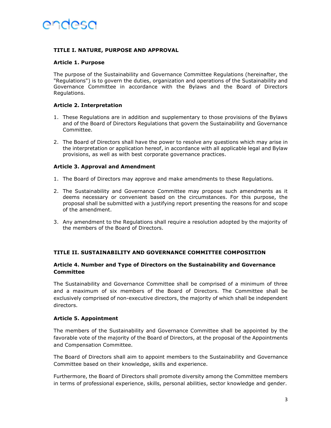# TITLE I. NATURE, PURPOSE AND APPROVAL

# Article 1. Purpose

The purpose of the Sustainability and Governance Committee Regulations (hereinafter, the "Regulations") is to govern the duties, organization and operations of the Sustainability and Governance Committee in accordance with the Bylaws and the Board of Directors Regulations.

# Article 2. Interpretation

- 1. These Regulations are in addition and supplementary to those provisions of the Bylaws and of the Board of Directors Regulations that govern the Sustainability and Governance Committee.
- 2. The Board of Directors shall have the power to resolve any questions which may arise in the interpretation or application hereof, in accordance with all applicable legal and Bylaw provisions, as well as with best corporate governance practices.

# Article 3. Approval and Amendment

- 1. The Board of Directors may approve and make amendments to these Regulations.
- 2. The Sustainability and Governance Committee may propose such amendments as it deems necessary or convenient based on the circumstances. For this purpose, the proposal shall be submitted with a justifying report presenting the reasons for and scope of the amendment.
- 3. Any amendment to the Regulations shall require a resolution adopted by the majority of the members of the Board of Directors.

# TITLE II. SUSTAINABILITY AND GOVERNANCE COMMITTEE COMPOSITION

# Article 4. Number and Type of Directors on the Sustainability and Governance Committee

The Sustainability and Governance Committee shall be comprised of a minimum of three and a maximum of six members of the Board of Directors. The Committee shall be exclusively comprised of non-executive directors, the majority of which shall be independent directors.

# Article 5. Appointment

The members of the Sustainability and Governance Committee shall be appointed by the favorable vote of the majority of the Board of Directors, at the proposal of the Appointments and Compensation Committee.

The Board of Directors shall aim to appoint members to the Sustainability and Governance Committee based on their knowledge, skills and experience.

Furthermore, the Board of Directors shall promote diversity among the Committee members in terms of professional experience, skills, personal abilities, sector knowledge and gender.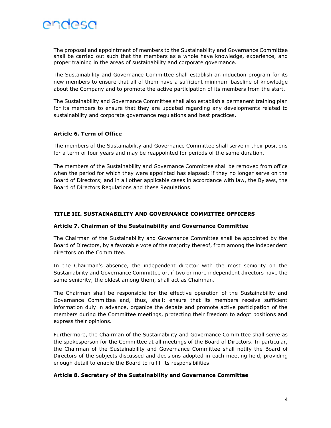

The proposal and appointment of members to the Sustainability and Governance Committee shall be carried out such that the members as a whole have knowledge, experience, and proper training in the areas of sustainability and corporate governance.

The Sustainability and Governance Committee shall establish an induction program for its new members to ensure that all of them have a sufficient minimum baseline of knowledge about the Company and to promote the active participation of its members from the start.

The Sustainability and Governance Committee shall also establish a permanent training plan for its members to ensure that they are updated regarding any developments related to sustainability and corporate governance regulations and best practices.

# Article 6. Term of Office

The members of the Sustainability and Governance Committee shall serve in their positions for a term of four years and may be reappointed for periods of the same duration.

The members of the Sustainability and Governance Committee shall be removed from office when the period for which they were appointed has elapsed; if they no longer serve on the Board of Directors; and in all other applicable cases in accordance with law, the Bylaws, the Board of Directors Regulations and these Regulations.

# TITLE III. SUSTAINABILITY AND GOVERNANCE COMMITTEE OFFICERS

### Article 7. Chairman of the Sustainability and Governance Committee

The Chairman of the Sustainability and Governance Committee shall be appointed by the Board of Directors, by a favorable vote of the majority thereof, from among the independent directors on the Committee.

In the Chairman's absence, the independent director with the most seniority on the Sustainability and Governance Committee or, if two or more independent directors have the same seniority, the oldest among them, shall act as Chairman.

The Chairman shall be responsible for the effective operation of the Sustainability and Governance Committee and, thus, shall: ensure that its members receive sufficient information duly in advance, organize the debate and promote active participation of the members during the Committee meetings, protecting their freedom to adopt positions and express their opinions.

Furthermore, the Chairman of the Sustainability and Governance Committee shall serve as the spokesperson for the Committee at all meetings of the Board of Directors. In particular, the Chairman of the Sustainability and Governance Committee shall notify the Board of Directors of the subjects discussed and decisions adopted in each meeting held, providing enough detail to enable the Board to fulfill its responsibilities.

### Article 8. Secretary of the Sustainability and Governance Committee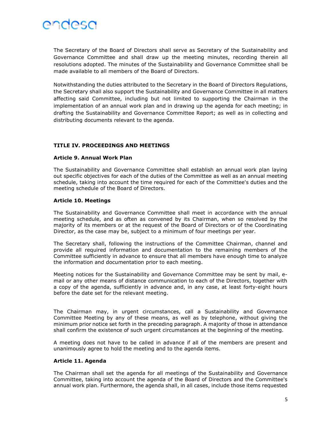

The Secretary of the Board of Directors shall serve as Secretary of the Sustainability and Governance Committee and shall draw up the meeting minutes, recording therein all resolutions adopted. The minutes of the Sustainability and Governance Committee shall be made available to all members of the Board of Directors.

Notwithstanding the duties attributed to the Secretary in the Board of Directors Regulations, the Secretary shall also support the Sustainability and Governance Committee in all matters affecting said Committee, including but not limited to supporting the Chairman in the implementation of an annual work plan and in drawing up the agenda for each meeting; in drafting the Sustainability and Governance Committee Report; as well as in collecting and distributing documents relevant to the agenda.

# TITLE IV. PROCEEDINGS AND MEETINGS

### Article 9. Annual Work Plan

The Sustainability and Governance Committee shall establish an annual work plan laying out specific objectives for each of the duties of the Committee as well as an annual meeting schedule, taking into account the time required for each of the Committee's duties and the meeting schedule of the Board of Directors.

#### Article 10. Meetings

The Sustainability and Governance Committee shall meet in accordance with the annual meeting schedule, and as often as convened by its Chairman, when so resolved by the majority of its members or at the request of the Board of Directors or of the Coordinating Director, as the case may be, subject to a minimum of four meetings per year.

The Secretary shall, following the instructions of the Committee Chairman, channel and provide all required information and documentation to the remaining members of the Committee sufficiently in advance to ensure that all members have enough time to analyze the information and documentation prior to each meeting.

Meeting notices for the Sustainability and Governance Committee may be sent by mail, email or any other means of distance communication to each of the Directors, together with a copy of the agenda, sufficiently in advance and, in any case, at least forty-eight hours before the date set for the relevant meeting.

The Chairman may, in urgent circumstances, call a Sustainability and Governance Committee Meeting by any of these means, as well as by telephone, without giving the minimum prior notice set forth in the preceding paragraph. A majority of those in attendance shall confirm the existence of such urgent circumstances at the beginning of the meeting.

A meeting does not have to be called in advance if all of the members are present and unanimously agree to hold the meeting and to the agenda items.

#### Article 11. Agenda

The Chairman shall set the agenda for all meetings of the Sustainability and Governance Committee, taking into account the agenda of the Board of Directors and the Committee's annual work plan. Furthermore, the agenda shall, in all cases, include those items requested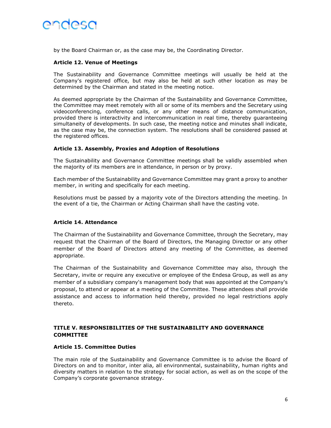

by the Board Chairman or, as the case may be, the Coordinating Director.

# Article 12. Venue of Meetings

The Sustainability and Governance Committee meetings will usually be held at the Company's registered office, but may also be held at such other location as may be determined by the Chairman and stated in the meeting notice.

As deemed appropriate by the Chairman of the Sustainability and Governance Committee, the Committee may meet remotely with all or some of its members and the Secretary using videoconferencing, conference calls, or any other means of distance communication, provided there is interactivity and intercommunication in real time, thereby guaranteeing simultaneity of developments. In such case, the meeting notice and minutes shall indicate, as the case may be, the connection system. The resolutions shall be considered passed at the registered offices.

# Article 13. Assembly, Proxies and Adoption of Resolutions

The Sustainability and Governance Committee meetings shall be validly assembled when the majority of its members are in attendance, in person or by proxy.

Each member of the Sustainability and Governance Committee may grant a proxy to another member, in writing and specifically for each meeting.

Resolutions must be passed by a majority vote of the Directors attending the meeting. In the event of a tie, the Chairman or Acting Chairman shall have the casting vote.

### Article 14. Attendance

The Chairman of the Sustainability and Governance Committee, through the Secretary, may request that the Chairman of the Board of Directors, the Managing Director or any other member of the Board of Directors attend any meeting of the Committee, as deemed appropriate.

The Chairman of the Sustainability and Governance Committee may also, through the Secretary, invite or require any executive or employee of the Endesa Group, as well as any member of a subsidiary company's management body that was appointed at the Company's proposal, to attend or appear at a meeting of the Committee. These attendees shall provide assistance and access to information held thereby, provided no legal restrictions apply thereto.

# TITLE V. RESPONSIBILITIES OF THE SUSTAINABILITY AND GOVERNANCE **COMMITTEE**

### Article 15. Committee Duties

The main role of the Sustainability and Governance Committee is to advise the Board of Directors on and to monitor, inter alia, all environmental, sustainability, human rights and diversity matters in relation to the strategy for social action, as well as on the scope of the Company's corporate governance strategy.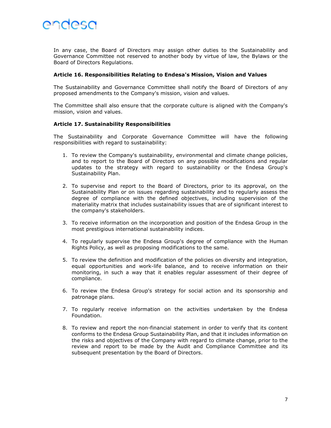

In any case, the Board of Directors may assign other duties to the Sustainability and Governance Committee not reserved to another body by virtue of law, the Bylaws or the Board of Directors Regulations.

#### Article 16. Responsibilities Relating to Endesa's Mission, Vision and Values

The Sustainability and Governance Committee shall notify the Board of Directors of any proposed amendments to the Company's mission, vision and values.

The Committee shall also ensure that the corporate culture is aligned with the Company's mission, vision and values.

#### Article 17. Sustainability Responsibilities

The Sustainability and Corporate Governance Committee will have the following responsibilities with regard to sustainability:

- 1. To review the Company's sustainability, environmental and climate change policies, and to report to the Board of Directors on any possible modifications and regular updates to the strategy with regard to sustainability or the Endesa Group's Sustainability Plan.
- 2. To supervise and report to the Board of Directors, prior to its approval, on the Sustainability Plan or on issues regarding sustainability and to regularly assess the degree of compliance with the defined objectives, including supervision of the materiality matrix that includes sustainability issues that are of significant interest to the company's stakeholders.
- 3. To receive information on the incorporation and position of the Endesa Group in the most prestigious international sustainability indices.
- 4. To regularly supervise the Endesa Group's degree of compliance with the Human Rights Policy, as well as proposing modifications to the same.
- 5. To review the definition and modification of the policies on diversity and integration, equal opportunities and work-life balance, and to receive information on their monitoring, in such a way that it enables regular assessment of their degree of compliance.
- 6. To review the Endesa Group's strategy for social action and its sponsorship and patronage plans.
- 7. To regularly receive information on the activities undertaken by the Endesa Foundation.
- 8. To review and report the non-financial statement in order to verify that its content conforms to the Endesa Group Sustainability Plan, and that it includes information on the risks and objectives of the Company with regard to climate change, prior to the review and report to be made by the Audit and Compliance Committee and its subsequent presentation by the Board of Directors.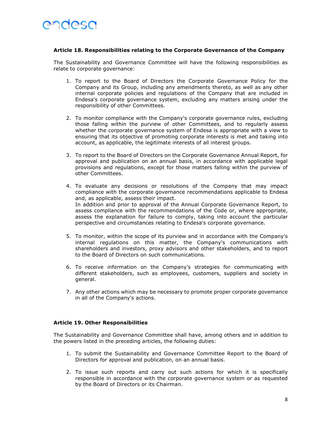# Article 18. Responsibilities relating to the Corporate Governance of the Company

The Sustainability and Governance Committee will have the following responsibilities as relate to corporate governance:

- 1. To report to the Board of Directors the Corporate Governance Policy for the Company and its Group, including any amendments thereto, as well as any other internal corporate policies and regulations of the Company that are included in Endesa's corporate governance system, excluding any matters arising under the responsibility of other Committees.
- 2. To monitor compliance with the Company's corporate governance rules, excluding those falling within the purview of other Committees, and to regularly assess whether the corporate governance system of Endesa is appropriate with a view to ensuring that its objective of promoting corporate interests is met and taking into account, as applicable, the legitimate interests of all interest groups.
- 3. To report to the Board of Directors on the Corporate Governance Annual Report, for approval and publication on an annual basis, in accordance with applicable legal provisions and regulations, except for those matters falling within the purview of other Committees.
- 4. To evaluate any decisions or resolutions of the Company that may impact compliance with the corporate governance recommendations applicable to Endesa and, as applicable, assess their impact. In addition and prior to approval of the Annual Corporate Governance Report, to assess compliance with the recommendations of the Code or, where appropriate, assess the explanation for failure to comply, taking into account the particular perspective and circumstances relating to Endesa's corporate governance.
- 5. To monitor, within the scope of its purview and in accordance with the Company's internal regulations on this matter, the Company's communications with shareholders and investors, proxy advisors and other stakeholders, and to report to the Board of Directors on such communications.
- 6. To receive information on the Company's strategies for communicating with different stakeholders, such as employees, customers, suppliers and society in general.
- 7. Any other actions which may be necessary to promote proper corporate governance in all of the Company's actions.

### Article 19. Other Responsibilities

The Sustainability and Governance Committee shall have, among others and in addition to the powers listed in the preceding articles, the following duties:

- 1. To submit the Sustainability and Governance Committee Report to the Board of Directors for approval and publication, on an annual basis.
- 2. To issue such reports and carry out such actions for which it is specifically responsible in accordance with the corporate governance system or as requested by the Board of Directors or its Chairman.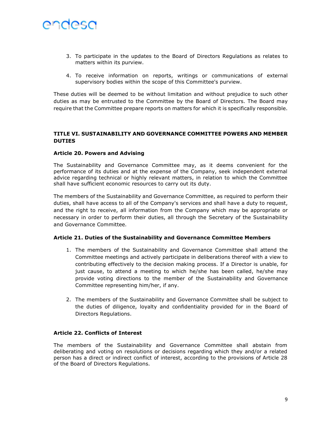

- 3. To participate in the updates to the Board of Directors Regulations as relates to matters within its purview.
- 4. To receive information on reports, writings or communications of external supervisory bodies within the scope of this Committee's purview.

These duties will be deemed to be without limitation and without prejudice to such other duties as may be entrusted to the Committee by the Board of Directors. The Board may require that the Committee prepare reports on matters for which it is specifically responsible.

# TITLE VI. SUSTAINABILITY AND GOVERNANCE COMMITTEE POWERS AND MEMBER **DUTIES**

### Article 20. Powers and Advising

The Sustainability and Governance Committee may, as it deems convenient for the performance of its duties and at the expense of the Company, seek independent external advice regarding technical or highly relevant matters, in relation to which the Committee shall have sufficient economic resources to carry out its duty.

The members of the Sustainability and Governance Committee, as required to perform their duties, shall have access to all of the Company's services and shall have a duty to request, and the right to receive, all information from the Company which may be appropriate or necessary in order to perform their duties, all through the Secretary of the Sustainability and Governance Committee.

### Article 21. Duties of the Sustainability and Governance Committee Members

- 1. The members of the Sustainability and Governance Committee shall attend the Committee meetings and actively participate in deliberations thereof with a view to contributing effectively to the decision making process. If a Director is unable, for just cause, to attend a meeting to which he/she has been called, he/she may provide voting directions to the member of the Sustainability and Governance Committee representing him/her, if any.
- 2. The members of the Sustainability and Governance Committee shall be subject to the duties of diligence, loyalty and confidentiality provided for in the Board of Directors Regulations.

# Article 22. Conflicts of Interest

The members of the Sustainability and Governance Committee shall abstain from deliberating and voting on resolutions or decisions regarding which they and/or a related person has a direct or indirect conflict of interest, according to the provisions of Article 28 of the Board of Directors Regulations.